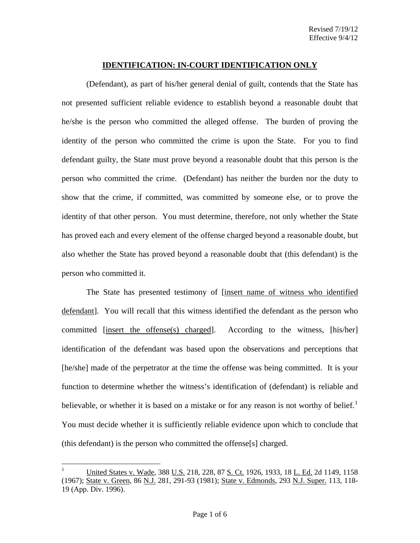(Defendant), as part of his/her general denial of guilt, contends that the State has not presented sufficient reliable evidence to establish beyond a reasonable doubt that he/she is the person who committed the alleged offense. The burden of proving the identity of the person who committed the crime is upon the State. For you to find defendant guilty, the State must prove beyond a reasonable doubt that this person is the person who committed the crime. (Defendant) has neither the burden nor the duty to show that the crime, if committed, was committed by someone else, or to prove the identity of that other person. You must determine, therefore, not only whether the State has proved each and every element of the offense charged beyond a reasonable doubt, but also whether the State has proved beyond a reasonable doubt that (this defendant) is the person who committed it.

The State has presented testimony of [insert name of witness who identified defendant]. You will recall that this witness identified the defendant as the person who committed [insert the offense(s) charged]. According to the witness, [his/her] identification of the defendant was based upon the observations and perceptions that [he/she] made of the perpetrator at the time the offense was being committed. It is your function to determine whether the witness's identification of (defendant) is reliable and believable, or whether it is based on a mistake or for any reason is not worthy of belief.<sup>[1](#page-0-0)</sup> You must decide whether it is sufficiently reliable evidence upon which to conclude that (this defendant) is the person who committed the offense[s] charged.

<span id="page-0-1"></span><span id="page-0-0"></span> $\mathbf{1}$ United States v. Wade, 388 U.S. 218, 228, 87 S. Ct. 1926, 1933, 18 L. Ed. 2d 1149, 1158 (1967); State v. Green, 86 N.J. 281, 291-93 (1981); State v. Edmonds, 293 N.J. Super. 113, 118- 19 (App. Div. 1996).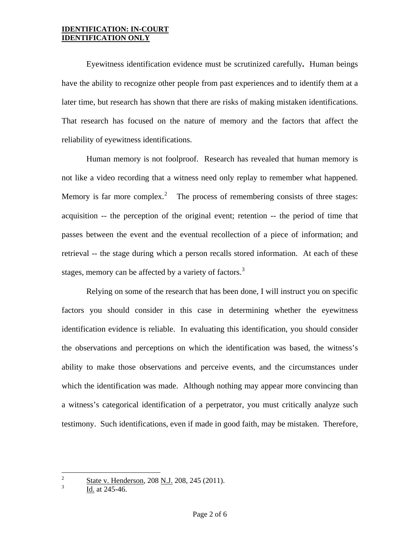Eyewitness identification evidence must be scrutinized carefully**.** Human beings have the ability to recognize other people from past experiences and to identify them at a later time, but research has shown that there are risks of making mistaken identifications. That research has focused on the nature of memory and the factors that affect the reliability of eyewitness identifications.

Human memory is not foolproof. Research has revealed that human memory is not like a video recording that a witness need only replay to remember what happened. Memory is far more complex.<sup>[2](#page-0-1)</sup> The process of remembering consists of three stages: acquisition -- the perception of the original event; retention -- the period of time that passes between the event and the eventual recollection of a piece of information; and retrieval -- the stage during which a person recalls stored information. At each of these stages, memory can be affected by a variety of factors.<sup>[3](#page-1-0)</sup>

Relying on some of the research that has been done, I will instruct you on specific factors you should consider in this case in determining whether the eyewitness identification evidence is reliable. In evaluating this identification, you should consider the observations and perceptions on which the identification was based, the witness's ability to make those observations and perceive events, and the circumstances under which the identification was made. Although nothing may appear more convincing than a witness's categorical identification of a perpetrator, you must critically analyze such testimony. Such identifications, even if made in good faith, may be mistaken. Therefore,

<span id="page-1-1"></span><span id="page-1-0"></span> $\overline{c}$  $\frac{2}{3}$  State v. Henderson, 208 <u>N.J.</u> 208, 245 (2011).

Id. at 245-46.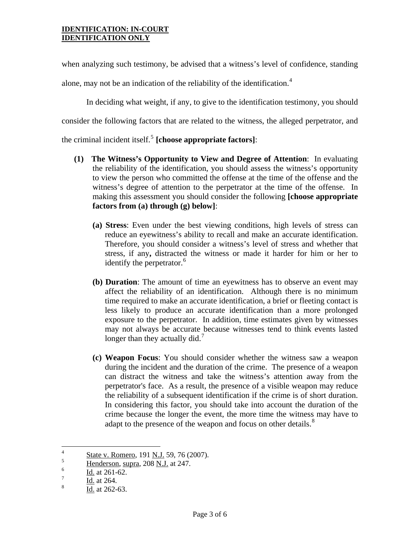when analyzing such testimony, be advised that a witness's level of confidence, standing

alone, may not be an indication of the reliability of the identification.<sup>[4](#page-1-1)</sup>

In deciding what weight, if any, to give to the identification testimony, you should consider the following factors that are related to the witness, the alleged perpetrator, and the criminal incident itself. $5$  **[choose appropriate factors]**:

- **(1) The Witness's Opportunity to View and Degree of Attention**: In evaluating the reliability of the identification, you should assess the witness's opportunity to view the person who committed the offense at the time of the offense and the witness's degree of attention to the perpetrator at the time of the offense. In making this assessment you should consider the following **[choose appropriate factors from (a) through (g) below]**:
	- **(a) Stress**: Even under the best viewing conditions, high levels of stress can reduce an eyewitness's ability to recall and make an accurate identification. Therefore, you should consider a witness's level of stress and whether that stress, if any**,** distracted the witness or made it harder for him or her to identify the perpetrator.<sup>[6](#page-2-1)</sup>
	- **(b) Duration**: The amount of time an eyewitness has to observe an event may affect the reliability of an identification. Although there is no minimum time required to make an accurate identification, a brief or fleeting contact is less likely to produce an accurate identification than a more prolonged exposure to the perpetrator. In addition, time estimates given by witnesses may not always be accurate because witnesses tend to think events lasted longer than they actually did.<sup>[7](#page-2-2)</sup>
	- **(c) Weapon Focus**: You should consider whether the witness saw a weapon during the incident and the duration of the crime. The presence of a weapon can distract the witness and take the witness's attention away from the perpetrator's face. As a result, the presence of a visible weapon may reduce the reliability of a subsequent identification if the crime is of short duration. In considering this factor, you should take into account the duration of the crime because the longer the event, the more time the witness may have to adapt to the presence of the weapon and focus on other details.<sup>[8](#page-2-3)</sup>

<span id="page-2-4"></span> $\overline{4}$  $\frac{4}{5}$  State v. Romero, 191 <u>N.J.</u> 59, 76 (2007).

<span id="page-2-0"></span> $\frac{5}{6}$  Henderson, supra, 208 <u>N.J.</u> at 247.

<span id="page-2-1"></span> $\frac{6}{7}$  Id. at 261-62.

<span id="page-2-2"></span> $\frac{7}{8}$  Id. at 264.

<span id="page-2-3"></span>Id. at 262-63.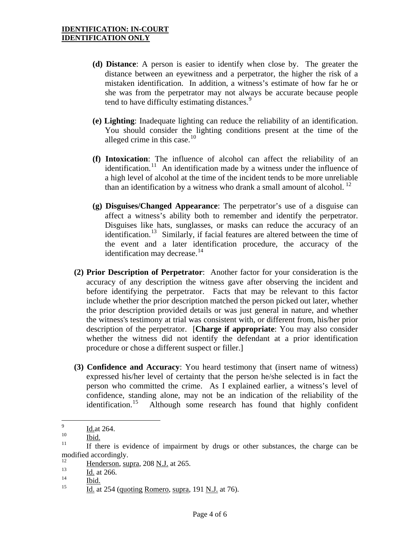- **(d) Distance**: A person is easier to identify when close by. The greater the distance between an eyewitness and a perpetrator, the higher the risk of a mistaken identification. In addition, a witness's estimate of how far he or she was from the perpetrator may not always be accurate because people tend to have difficulty estimating distances.<sup>[9](#page-2-4)</sup>
- **(e) Lighting**: Inadequate lighting can reduce the reliability of an identification. You should consider the lighting conditions present at the time of the alleged crime in this case. $10$
- **(f) Intoxication**: The influence of alcohol can affect the reliability of an identification.<sup>[11](#page-3-1)</sup> An identification made by a witness under the influence of a high level of alcohol at the time of the incident tends to be more unreliable than an identification by a witness who drank a small amount of alcohol.  $^{12}$
- **(g) Disguises/Changed Appearance**: The perpetrator's use of a disguise can affect a witness's ability both to remember and identify the perpetrator. Disguises like hats, sunglasses, or masks can reduce the accuracy of an identification.[13](#page-3-3) Similarly, if facial features are altered between the time of the event and a later identification procedure, the accuracy of the identification may decrease. $14$
- **(2) Prior Description of Perpetrator**: Another factor for your consideration is the accuracy of any description the witness gave after observing the incident and before identifying the perpetrator. Facts that may be relevant to this factor include whether the prior description matched the person picked out later, whether the prior description provided details or was just general in nature, and whether the witness's testimony at trial was consistent with, or different from, his/her prior description of the perpetrator. [**Charge if appropriate**: You may also consider whether the witness did not identify the defendant at a prior identification procedure or chose a different suspect or filler.]
- **(3) Confidence and Accuracy**: You heard testimony that (insert name of witness) expressed his/her level of certainty that the person he/she selected is in fact the person who committed the crime. As I explained earlier, a witness's level of confidence, standing alone, may not be an indication of the reliability of the identification.<sup>15</sup> Although some research has found that highly confident Although some research has found that highly confident

 $\overline{9}$  $\frac{10}{10}$  Id.at 264.

<span id="page-3-1"></span><span id="page-3-0"></span> $\frac{10}{11}$  Ibid.<br><sup>11</sup> If there is evidence of impairment by drugs or other substances, the charge can be modified accordingly.

<span id="page-3-6"></span><span id="page-3-2"></span> $\frac{12}{13}$  Henderson, supra, 208 <u>N.J.</u> at 265.

<span id="page-3-3"></span> $\frac{13}{14}$  Id. at 266.

<span id="page-3-4"></span> $\frac{14}{15}$  Ibid.

<span id="page-3-5"></span>Id. at 254 (quoting Romero, supra, 191 N.J. at 76).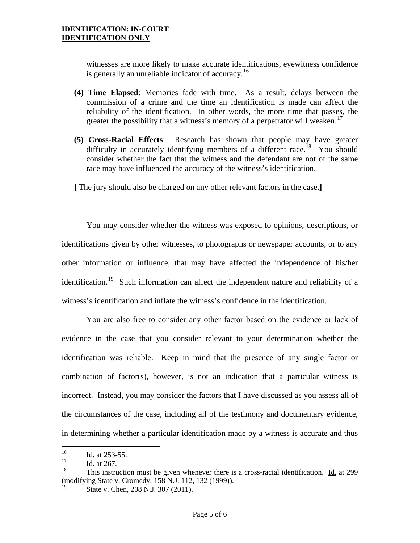witnesses are more likely to make accurate identifications, eyewitness confidence is generally an unreliable indicator of accuracy.<sup>[16](#page-3-6)</sup>

- **(4) Time Elapsed**: Memories fade with time. As a result, delays between the commission of a crime and the time an identification is made can affect the reliability of the identification. In other words, the more time that passes, the greater the possibility that a witness's memory of a perpetrator will weaken.<sup>[17](#page-4-0)</sup>
- **(5) Cross-Racial Effects**:Research has shown that people may have greater difficulty in accurately identifying members of a different race.<sup>[18](#page-4-1)</sup> You should consider whether the fact that the witness and the defendant are not of the same race may have influenced the accuracy of the witness's identification.

**[** The jury should also be charged on any other relevant factors in the case.**]** 

You may consider whether the witness was exposed to opinions, descriptions, or identifications given by other witnesses, to photographs or newspaper accounts, or to any other information or influence, that may have affected the independence of his/her identification.<sup>[19](#page-4-2)</sup> Such information can affect the independent nature and reliability of a witness's identification and inflate the witness's confidence in the identification.

You are also free to consider any other factor based on the evidence or lack of evidence in the case that you consider relevant to your determination whether the identification was reliable. Keep in mind that the presence of any single factor or combination of factor(s), however, is not an indication that a particular witness is incorrect. Instead, you may consider the factors that I have discussed as you assess all of the circumstances of the case, including all of the testimony and documentary evidence, in determining whether a particular identification made by a witness is accurate and thus

 $16\,$  $\frac{16}{17}$  Id. at 253-55.

<span id="page-4-0"></span> $\frac{17}{18}$  Id. at 267.

<span id="page-4-2"></span><span id="page-4-1"></span><sup>18</sup> This instruction must be given whenever there is a cross-racial identification. Id. at 299 (modifying State v. Cromedy, 158 N.J. 112, 132 (1999)).

State v. Chen, 208 N.J. 307 (2011).